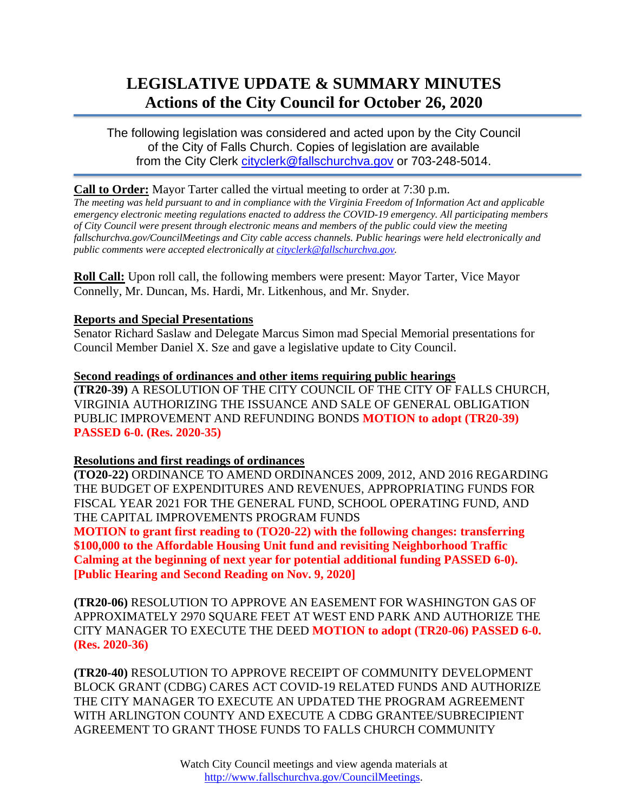# **LEGISLATIVE UPDATE & SUMMARY MINUTES Actions of the City Council for October 26, 2020**

The following legislation was considered and acted upon by the City Council of the City of Falls Church. Copies of legislation are available from the City Clerk [cityclerk@fallschurchva.gov](mailto:cityclerk@fallschurchva.gov) or 703-248-5014.

#### **Call to Order:** Mayor Tarter called the virtual meeting to order at 7:30 p.m.

*The meeting was held pursuant to and in compliance with the Virginia Freedom of Information Act and applicable emergency electronic meeting regulations enacted to address the COVID-19 emergency. All participating members of City Council were present through electronic means and members of the public could view the meeting fallschurchva.gov/CouncilMeetings and City cable access channels. Public hearings were held electronically and public comments were accepted electronically a[t cityclerk@fallschurchva.gov.](mailto:cityclerk@fallschurchva.gov)*

**Roll Call:** Upon roll call, the following members were present: Mayor Tarter, Vice Mayor Connelly, Mr. Duncan, Ms. Hardi, Mr. Litkenhous, and Mr. Snyder.

#### **Reports and Special Presentations**

Senator Richard Saslaw and Delegate Marcus Simon mad Special Memorial presentations for Council Member Daniel X. Sze and gave a legislative update to City Council.

**Second readings of ordinances and other items requiring public hearings (TR20-39)** A RESOLUTION OF THE CITY COUNCIL OF THE CITY OF FALLS CHURCH, VIRGINIA AUTHORIZING THE ISSUANCE AND SALE OF GENERAL OBLIGATION PUBLIC IMPROVEMENT AND REFUNDING BONDS **MOTION to adopt (TR20-39) PASSED 6-0. (Res. 2020-35)**

#### **Resolutions and first readings of ordinances**

**(TO20-22)** ORDINANCE TO AMEND ORDINANCES 2009, 2012, AND 2016 REGARDING THE BUDGET OF EXPENDITURES AND REVENUES, APPROPRIATING FUNDS FOR FISCAL YEAR 2021 FOR THE GENERAL FUND, SCHOOL OPERATING FUND, AND THE CAPITAL IMPROVEMENTS PROGRAM FUNDS

**MOTION to grant first reading to (TO20-22) with the following changes: transferring \$100,000 to the Affordable Housing Unit fund and revisiting Neighborhood Traffic Calming at the beginning of next year for potential additional funding PASSED 6-0). [Public Hearing and Second Reading on Nov. 9, 2020]**

**(TR20-06)** RESOLUTION TO APPROVE AN EASEMENT FOR WASHINGTON GAS OF APPROXIMATELY 2970 SQUARE FEET AT WEST END PARK AND AUTHORIZE THE CITY MANAGER TO EXECUTE THE DEED **MOTION to adopt (TR20-06) PASSED 6-0. (Res. 2020-36)**

**(TR20-40)** RESOLUTION TO APPROVE RECEIPT OF COMMUNITY DEVELOPMENT BLOCK GRANT (CDBG) CARES ACT COVID-19 RELATED FUNDS AND AUTHORIZE THE CITY MANAGER TO EXECUTE AN UPDATED THE PROGRAM AGREEMENT WITH ARLINGTON COUNTY AND EXECUTE A CDBG GRANTEE/SUBRECIPIENT AGREEMENT TO GRANT THOSE FUNDS TO FALLS CHURCH COMMUNITY